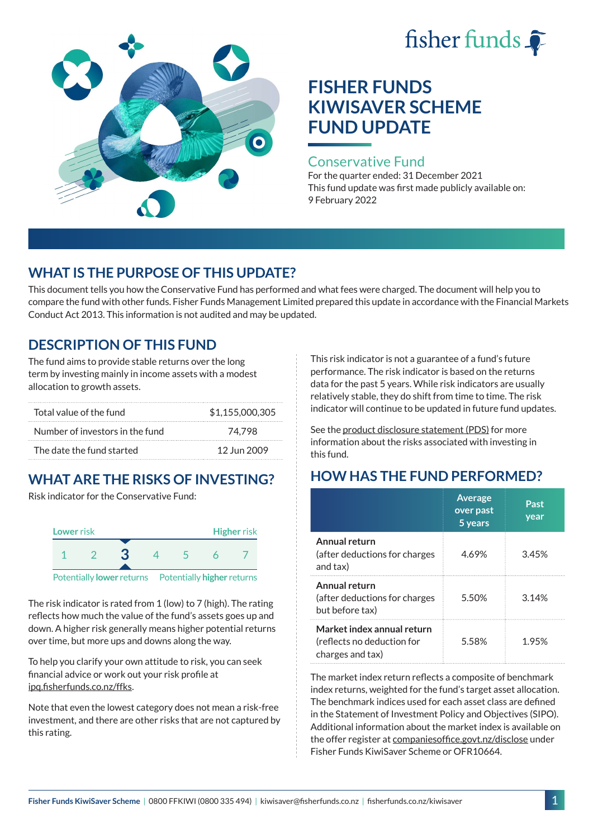# fisher funds  $\hat{\bullet}$



# **FISHER FUNDS KIWISAVER SCHEME FUND UPDATE**

#### Conservative Fund

For the quarter ended: 31 December 2021 This fund update was first made publicly available on: 9 February 2022

## **WHAT IS THE PURPOSE OF THIS UPDATE?**

This document tells you how the Conservative Fund has performed and what fees were charged. The document will help you to compare the fund with other funds. Fisher Funds Management Limited prepared this update in accordance with the Financial Markets Conduct Act 2013. This information is not audited and may be updated.

# **DESCRIPTION OF THIS FUND**

The fund aims to provide stable returns over the long term by investing mainly in income assets with a modest allocation to growth assets.

| Total value of the fund         | \$1.155,000,305 |
|---------------------------------|-----------------|
| Number of investors in the fund | 74.798          |
| The date the fund started       | 12 Jun 2009     |

# **WHAT ARE THE RISKS OF INVESTING?**

Risk indicator for the Conservative Fund:



The risk indicator is rated from 1 (low) to 7 (high). The rating reflects how much the value of the fund's assets goes up and down. A higher risk generally means higher potential returns over time, but more ups and downs along the way.

To help you clarify your own attitude to risk, you can seek financial advice or work out your risk profile at [ipq.fisherfunds.co.nz/ffks](https://ipq.fisherfunds.co.nz/ffks).

Note that even the lowest category does not mean a risk-free investment, and there are other risks that are not captured by this rating.

This risk indicator is not a guarantee of a fund's future performance. The risk indicator is based on the returns data for the past 5 years. While risk indicators are usually relatively stable, they do shift from time to time. The risk indicator will continue to be updated in future fund updates.

See the [product disclosure statement \(PDS\)](https://fisherfunds.co.nz/assets/PDS/Fisher-Funds-KiwiSaver-Scheme-PDS.pdf) for more information about the risks associated with investing in this fund.

# **HOW HAS THE FUND PERFORMED?**

|                                                                              | <b>Average</b><br>over past<br>5 years | Past<br>year |
|------------------------------------------------------------------------------|----------------------------------------|--------------|
| Annual return<br>(after deductions for charges<br>and tax)                   | 4.69%                                  | 3.45%        |
| Annual return<br>(after deductions for charges<br>but before tax)            | 5.50%                                  | 3.14%        |
| Market index annual return<br>(reflects no deduction for<br>charges and tax) | 5.58%                                  | 1 95%        |

The market index return reflects a composite of benchmark index returns, weighted for the fund's target asset allocation. The benchmark indices used for each asset class are defined in the Statement of Investment Policy and Objectives (SIPO). Additional information about the market index is available on the offer register at [companiesoffice.govt.nz/disclose](http://companiesoffice.govt.nz/disclose) under Fisher Funds KiwiSaver Scheme or OFR10664.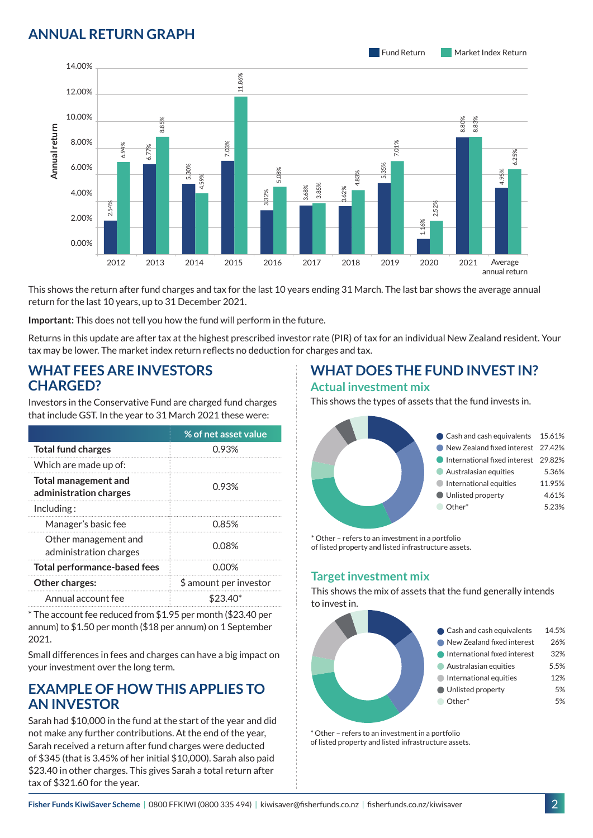### **ANNUAL RETURN GRAPH**



This shows the return after fund charges and tax for the last 10 years ending 31 March. The last bar shows the average annual return for the last 10 years, up to 31 December 2021.

**Important:** This does not tell you how the fund will perform in the future.

Returns in this update are after tax at the highest prescribed investor rate (PIR) of tax for an individual New Zealand resident. Your tax may be lower. The market index return reflects no deduction for charges and tax.

#### **WHAT FEES ARE INVESTORS CHARGED?**

|                                                       |                           |                                     | 8.8   |                                                       |                                                                                                                                      |       |
|-------------------------------------------------------|---------------------------|-------------------------------------|-------|-------------------------------------------------------|--------------------------------------------------------------------------------------------------------------------------------------|-------|
|                                                       | 8.00%                     | 6.94%                               |       |                                                       | .03%                                                                                                                                 |       |
| Annual return                                         | 6.00%                     |                                     | 6.77% | 5.30%                                                 |                                                                                                                                      | 5.08% |
|                                                       | 4.00%                     |                                     |       | 4.59%                                                 |                                                                                                                                      | 3.32% |
|                                                       | 2.00%                     | 2.54%                               |       |                                                       |                                                                                                                                      |       |
|                                                       | 0.00%                     |                                     |       |                                                       |                                                                                                                                      |       |
|                                                       |                           | 2012                                | 2013  | 2014                                                  | 2015                                                                                                                                 | 2016  |
|                                                       |                           |                                     |       | return for the last 10 years, up to 31 December 2021. | This shows the return after fund charges and tax for the last 10                                                                     |       |
|                                                       |                           |                                     |       |                                                       | Important: This does not tell you how the fund will perform in t                                                                     |       |
|                                                       |                           |                                     |       |                                                       | Returns in this update are after tax at the highest prescribed in<br>tax may be lower. The market index return reflects no deductior |       |
| <b>CHARGED?</b>                                       |                           |                                     |       | <b>WHAT FEES ARE INVESTORS</b>                        |                                                                                                                                      |       |
|                                                       |                           |                                     |       |                                                       | Investors in the Conservative Fund are charged fund charges<br>that include GST. In the year to 31 March 2021 these were:            |       |
|                                                       |                           |                                     |       |                                                       | % of net asset value                                                                                                                 |       |
|                                                       | <b>Total fund charges</b> |                                     |       |                                                       | 0.93%                                                                                                                                |       |
|                                                       | Which are made up of:     |                                     |       |                                                       |                                                                                                                                      |       |
| <b>Total management and</b><br>administration charges |                           |                                     | 0.93% |                                                       |                                                                                                                                      |       |
| Including:                                            |                           |                                     |       |                                                       |                                                                                                                                      |       |
|                                                       | Manager's basic fee       |                                     |       | 0.85%                                                 |                                                                                                                                      |       |
| Other management and<br>administration charges        |                           |                                     | 0.08% |                                                       |                                                                                                                                      |       |
|                                                       |                           | <b>Total performance-based fees</b> |       |                                                       | 0.00%                                                                                                                                |       |
|                                                       | Other charges:            |                                     |       |                                                       | \$ amount per investor                                                                                                               |       |
|                                                       | Annual account fee        |                                     |       |                                                       | \$23.40*                                                                                                                             |       |
| 2021.                                                 |                           |                                     |       |                                                       | * The account fee reduced from \$1.95 per month (\$23.40 per<br>annum) to \$1.50 per month (\$18 per annum) on 1 September           |       |
|                                                       |                           |                                     |       |                                                       | Small differences in fees and charges can have a big impact on                                                                       |       |

#### **EXAMPLE OF HOW THIS APPLIES TO AN INVESTOR**

Sarah had \$10,000 in the fund at the start of the year and did not make any further contributions. At the end of the year, Sarah received a return after fund charges were deducted of \$345 (that is 3.45% of her initial \$10,000). Sarah also paid \$23.40 in other charges. This gives Sarah a total return after tax of \$321.60 for the year.

#### **WHAT DOES THE FUND INVEST IN? Actual investment mix**

This shows the types of assets that the fund invests in.



\* Other – refers to an investment in a portfolio of listed property and listed infrastructure assets.

#### **Target investment mix**

This shows the mix of assets that the fund generally intends to invest in.



\* Other – refers to an investment in a portfolio of listed property and listed infrastructure assets.